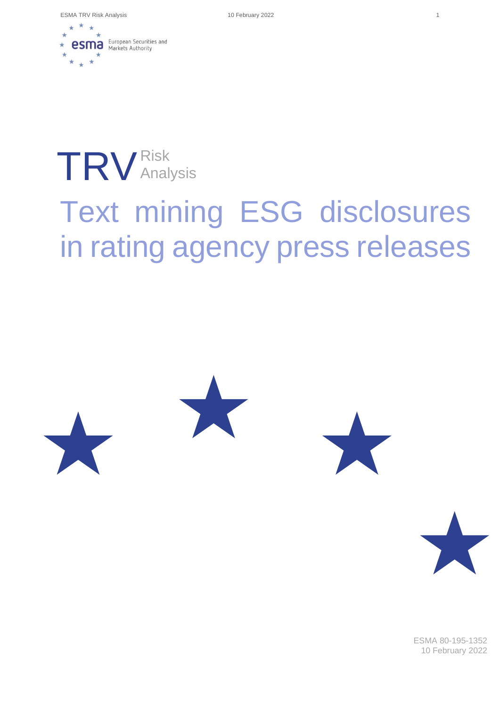



# Text mining ESG disclosures in rating agency press releases



ESMA 80-195-1352 10 February 2022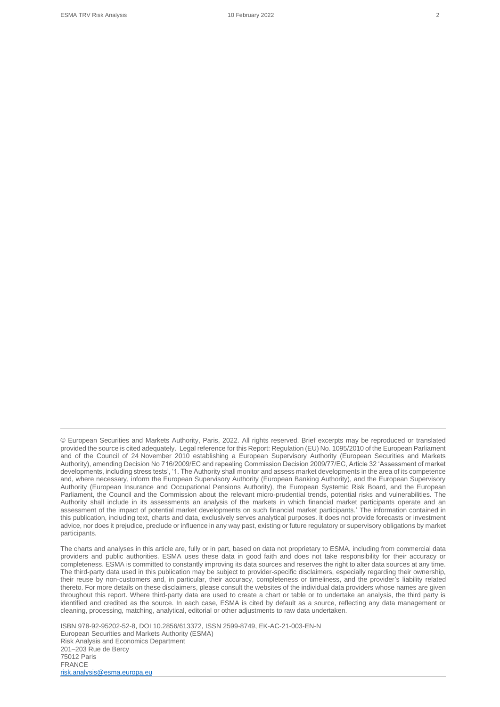The charts and analyses in this article are, fully or in part, based on data not proprietary to ESMA, including from commercial data providers and public authorities. ESMA uses these data in good faith and does not take responsibility for their accuracy or completeness. ESMA is committed to constantly improving its data sources and reserves the right to alter data sources at any time. The third-party data used in this publication may be subject to provider-specific disclaimers, especially regarding their ownership, their reuse by non-customers and, in particular, their accuracy, completeness or timeliness, and the provider's liability related thereto. For more details on these disclaimers, please consult the websites of the individual data providers whose names are given throughout this report. Where third-party data are used to create a chart or table or to undertake an analysis, the third party is identified and credited as the source. In each case, ESMA is cited by default as a source, reflecting any data management or cleaning, processing, matching, analytical, editorial or other adjustments to raw data undertaken.

ISBN 978-92-95202-52-8, DOI 10.2856/613372, ISSN 2599-8749, EK-AC-21-003-EN-N European Securities and Markets Authority (ESMA) Risk Analysis and Economics Department 201–203 Rue de Bercy 75012 Paris FRANCE [risk.analysis@esma.europa.eu](mailto:risk.analysis@esma.europa.eu)

<sup>©</sup> European Securities and Markets Authority, Paris, 2022. All rights reserved. Brief excerpts may be reproduced or translated provided the source is cited adequately. Legal reference for this Report: Regulation (EU) No. 1095/2010 of the European Parliament and of the Council of 24 November 2010 establishing a European Supervisory Authority (European Securities and Markets Authority), amending Decision No 716/2009/EC and repealing Commission Decision 2009/77/EC, Article 32 'Assessment of market developments, including stress tests', '1. The Authority shall monitor and assess market developments in the area of its competence and, where necessary, inform the European Supervisory Authority (European Banking Authority), and the European Supervisory Authority (European Insurance and Occupational Pensions Authority), the European Systemic Risk Board, and the European Parliament, the Council and the Commission about the relevant micro-prudential trends, potential risks and vulnerabilities. The Authority shall include in its assessments an analysis of the markets in which financial market participants operate and an assessment of the impact of potential market developments on such financial market participants.' The information contained in this publication, including text, charts and data, exclusively serves analytical purposes. It does not provide forecasts or investment advice, nor does it prejudice, preclude or influence in any way past, existing or future regulatory or supervisory obligations by market participants.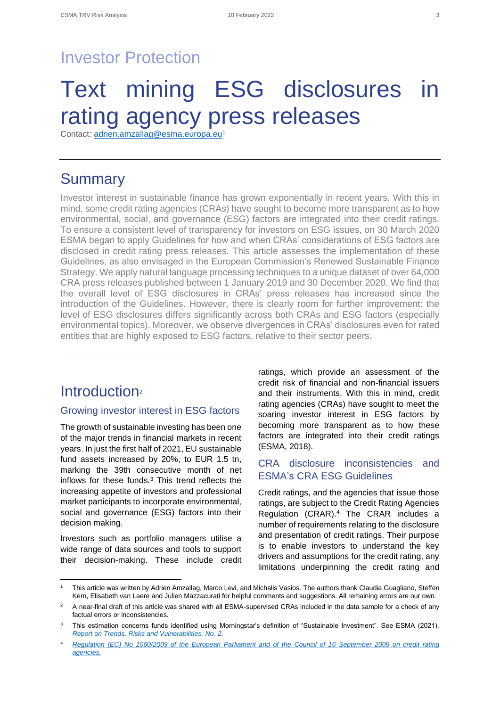## Text mining ESG disclosures in rating agency press releases

Contact: [adrien.amzallag@esma.europa.eu](mailto:adrien.amzallag@esma.europa.eu)1

## **Summary**

Investor interest in sustainable finance has grown exponentially in recent years. With this in mind, some credit rating agencies (CRAs) have sought to become more transparent as to how environmental, social, and governance (ESG) factors are integrated into their credit ratings. To ensure a consistent level of transparency for investors on ESG issues, on 30 March 2020 ESMA began to apply Guidelines for how and when CRAs' considerations of ESG factors are disclosed in credit rating press releases. This article assesses the implementation of these Guidelines, as also envisaged in the European Commission's Renewed Sustainable Finance Strategy. We apply natural language processing techniques to a unique dataset of over 64,000 CRA press releases published between 1 January 2019 and 30 December 2020. We find that the overall level of ESG disclosures in CRAs' press releases has increased since the introduction of the Guidelines. However, there is clearly room for further improvement: the level of ESG disclosures differs significantly across both CRAs and ESG factors (especially environmental topics). Moreover, we observe divergences in CRAs' disclosures even for rated entities that are highly exposed to ESG factors, relative to their sector peers.

## Introduction<sup>2</sup>

#### Growing investor interest in ESG factors

The growth of sustainable investing has been one of the major trends in financial markets in recent years. In just the first half of 2021, EU sustainable fund assets increased by 20%, to EUR 1.5 tn, marking the 39th consecutive month of net inflows for these funds.<sup>3</sup> This trend reflects the increasing appetite of investors and professional market participants to incorporate environmental, social and governance (ESG) factors into their decision making.

Investors such as portfolio managers utilise a wide range of data sources and tools to support their decision-making. These include credit

ratings, which provide an assessment of the credit risk of financial and non-financial issuers and their instruments. With this in mind, credit rating agencies (CRAs) have sought to meet the soaring investor interest in ESG factors by becoming more transparent as to how these factors are integrated into their credit ratings (ESMA, 2018).

#### CRA disclosure inconsistencies and ESMA's CRA ESG Guidelines

Credit ratings, and the agencies that issue those ratings, are subject to the Credit Rating Agencies Regulation (CRAR).<sup>4</sup> The CRAR includes a number of requirements relating to the disclosure and presentation of credit ratings. Their purpose is to enable investors to understand the key drivers and assumptions for the credit rating, any limitations underpinning the credit rating and

<sup>1</sup> This article was written by Adrien Amzallag, Marco Levi, and Michalis Vasios. The authors thank Claudia Guagliano, Steffen Kern, Elisabeth van Laere and Julien Mazzacurati for helpful comments and suggestions. All remaining errors are our own.

 $2$  A near-final draft of this article was shared with all ESMA-supervised CRAs included in the data sample for a check of any factual errors or inconsistencies*.*

<sup>&</sup>lt;sup>3</sup> This estimation concerns funds identified using Morningstar's definition of "Sustainable Investment". See ESMA (2021), *[Report on Trends, Risks and Vulnerabilities, No. 2.](https://www.esma.europa.eu/sites/default/files/library/esma50-165-1842_trv2-2021.pdf)*

<sup>4</sup> *[Regulation \(EC\) No 1060/2009 of the European Parliament and of the Council of 16 September 2009 on credit rating](https://eur-lex.europa.eu/legal-content/EN/TXT/?uri=CELEX%3A02009R1060-20190101)  [agencies.](https://eur-lex.europa.eu/legal-content/EN/TXT/?uri=CELEX%3A02009R1060-20190101)*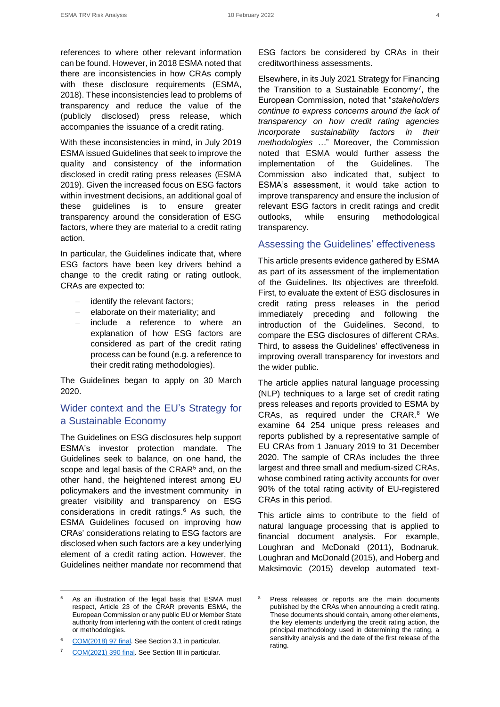With these inconsistencies in mind, in July 2019 ESMA issued Guidelines that seek to improve the quality and consistency of the information disclosed in credit rating press releases (ESMA 2019). Given the increased focus on ESG factors within investment decisions, an additional goal of these guidelines is to ensure greater transparency around the consideration of ESG factors, where they are material to a credit rating action.

In particular, the Guidelines indicate that, where ESG factors have been key drivers behind a change to the credit rating or rating outlook, CRAs are expected to:

- identify the relevant factors;
- elaborate on their materiality; and
- include a reference to where an explanation of how ESG factors are considered as part of the credit rating process can be found (e.g. a reference to their credit rating methodologies).

The Guidelines began to apply on 30 March 2020.

#### Wider context and the EU's Strategy for a Sustainable Economy

The Guidelines on ESG disclosures help support ESMA's investor protection mandate. The Guidelines seek to balance, on one hand, the scope and legal basis of the CRAR<sup>5</sup> and, on the other hand, the heightened interest among EU policymakers and the investment community in greater visibility and transparency on ESG considerations in credit ratings. <sup>6</sup> As such, the ESMA Guidelines focused on improving how CRAs' considerations relating to ESG factors are disclosed when such factors are a key underlying element of a credit rating action. However, the Guidelines neither mandate nor recommend that ESG factors be considered by CRAs in their creditworthiness assessments.

Elsewhere, in its July 2021 Strategy for Financing the Transition to a Sustainable Economy<sup>7</sup> , the European Commission, noted that "*stakeholders continue to express concerns around the lack of transparency on how credit rating agencies incorporate sustainability factors in their methodologies …*" Moreover, the Commission noted that ESMA would further assess the implementation of the Guidelines. The Commission also indicated that, subject to ESMA's assessment, it would take action to improve transparency and ensure the inclusion of relevant ESG factors in credit ratings and credit outlooks, while ensuring methodological transparency.

#### Assessing the Guidelines' effectiveness

This article presents evidence gathered by ESMA as part of its assessment of the implementation of the Guidelines. Its objectives are threefold. First, to evaluate the extent of ESG disclosures in credit rating press releases in the period immediately preceding and following the introduction of the Guidelines. Second, to compare the ESG disclosures of different CRAs. Third, to assess the Guidelines' effectiveness in improving overall transparency for investors and the wider public.

The article applies natural language processing (NLP) techniques to a large set of credit rating press releases and reports provided to ESMA by CRAs, as required under the CRAR.<sup>8</sup> We examine 64 254 unique press releases and reports published by a representative sample of EU CRAs from 1 January 2019 to 31 December 2020. The sample of CRAs includes the three largest and three small and medium-sized CRAs, whose combined rating activity accounts for over 90% of the total rating activity of EU-registered CRAs in this period.

This article aims to contribute to the field of natural language processing that is applied to financial document analysis. For example, Loughran and McDonald (2011), Bodnaruk, Loughran and McDonald (2015), and Hoberg and Maksimovic (2015) develop automated text-

<sup>6</sup> [COM\(2018\)](https://eur-lex.europa.eu/legal-content/EN/TXT/HTML/?uri=CELEX:52018DC0097&from=EN) 97 final. See Section 3.1 in particular.

As an illustration of the legal basis that ESMA must respect, Article 23 of the CRAR prevents ESMA, the European Commission or any public EU or Member State authority from interfering with the content of credit ratings or methodologies.

<sup>&</sup>lt;sup>7</sup> [COM\(2021\)](https://eur-lex.europa.eu/legal-content/EN/ALL/?uri=COM:2021:390:FIN) 390 final. See Section III in particular.

<sup>&</sup>lt;sup>8</sup> Press releases or reports are the main documents published by the CRAs when announcing a credit rating. These documents should contain, among other elements, the key elements underlying the credit rating action, the principal methodology used in determining the rating, a sensitivity analysis and the date of the first release of the rating.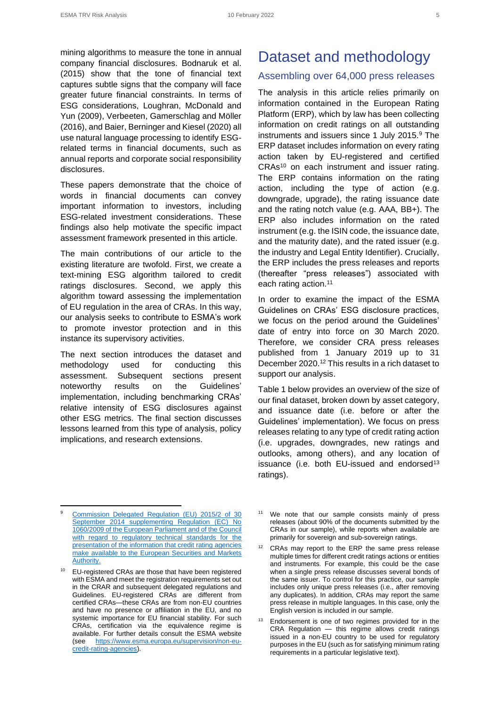mining algorithms to measure the tone in annual company financial disclosures. Bodnaruk et al. (2015) show that the tone of financial text captures subtle signs that the company will face greater future financial constraints. In terms of ESG considerations, Loughran, McDonald and Yun (2009), Verbeeten, Gamerschlag and Möller (2016), and Baier, Berninger and Kiesel (2020) all use natural language processing to identify ESGrelated terms in financial documents, such as annual reports and corporate social responsibility disclosures.

These papers demonstrate that the choice of words in financial documents can convey important information to investors, including ESG-related investment considerations. These findings also help motivate the specific impact assessment framework presented in this article.

The main contributions of our article to the existing literature are twofold. First, we create a text-mining ESG algorithm tailored to credit ratings disclosures. Second, we apply this algorithm toward assessing the implementation of EU regulation in the area of CRAs. In this way, our analysis seeks to contribute to ESMA's work to promote investor protection and in this instance its supervisory activities.

The next section introduces the dataset and methodology used for conducting this assessment. Subsequent sections present noteworthy results on the Guidelines' implementation, including benchmarking CRAs' relative intensity of ESG disclosures against other ESG metrics. The final section discusses lessons learned from this type of analysis, policy implications, and research extensions.

## Dataset and methodology

#### Assembling over 64,000 press releases

The analysis in this article relies primarily on information contained in the European Rating Platform (ERP), which by law has been collecting information on credit ratings on all outstanding instruments and issuers since 1 July 2015.<sup>9</sup> The ERP dataset includes information on every rating action taken by EU-registered and certified CRAs<sup>10</sup> on each instrument and issuer rating. The ERP contains information on the rating action, including the type of action (e.g. downgrade, upgrade), the rating issuance date and the rating notch value (e.g. AAA, BB+). The ERP also includes information on the rated instrument (e.g. the ISIN code, the issuance date, and the maturity date), and the rated issuer (e.g. the industry and Legal Entity Identifier). Crucially, the ERP includes the press releases and reports (thereafter "press releases") associated with each rating action. 11

In order to examine the impact of the ESMA Guidelines on CRAs' ESG disclosure practices, we focus on the period around the Guidelines' date of entry into force on 30 March 2020. Therefore, we consider CRA press releases published from 1 January 2019 up to 31 December 2020. <sup>12</sup> This results in a rich dataset to support our analysis.

[Table](#page-5-0) 1 [below](#page-5-0) provides an overview of the size of our final dataset, broken down by asset category, and issuance date (i.e. before or after the Guidelines' implementation). We focus on press releases relating to any type of credit rating action (i.e. upgrades, downgrades, new ratings and outlooks, among others), and any location of issuance (i.e. both EU-issued and endorsed<sup>13</sup> ratings).

- <sup>11</sup> We note that our sample consists mainly of press releases (about 90% of the documents submitted by the CRAs in our sample), while reports when available are primarily for sovereign and sub-sovereign ratings.
- <sup>12</sup> CRAs may report to the ERP the same press release multiple times for different credit ratings actions or entities and instruments. For example, this could be the case when a single press release discusses several bonds of the same issuer. To control for this practice, our sample includes only unique press releases (i.e., after removing any duplicates). In addition, CRAs may report the same press release in multiple languages. In this case, only the English version is included in our sample.
- 13 Endorsement is one of two regimes provided for in the CRA Regulation — this regime allows credit ratings issued in a non-EU country to be used for regulatory purposes in the EU (such as for satisfying minimum rating requirements in a particular legislative text).

Commission Delegated Regulation (EU) 2015/2 of 30 September 2014 supplementing Regulation (EC) No [1060/2009 of the European Parliament and of the Council](https://eur-lex.europa.eu/legal-content/EN/TXT/HTML/?uri=CELEX:32015R0002&from=EN)  with regard to regulatory technical standards for the [presentation of the information that credit rating agencies](https://eur-lex.europa.eu/legal-content/EN/TXT/HTML/?uri=CELEX:32015R0002&from=EN)  [make available to the European Securities and Markets](https://eur-lex.europa.eu/legal-content/EN/TXT/HTML/?uri=CELEX:32015R0002&from=EN)  [Authority.](https://eur-lex.europa.eu/legal-content/EN/TXT/HTML/?uri=CELEX:32015R0002&from=EN)

EU-registered CRAs are those that have been registered with ESMA and meet the registration requirements set out in the CRAR and subsequent delegated regulations and Guidelines. EU-registered CRAs are different from certified CRAs—these CRAs are from non-EU countries and have no presence or affiliation in the EU, and no systemic importance for EU financial stability. For such CRAs, certification via the equivalence regime is available. For further details consult the ESMA website (see [https://www.esma.europa.eu/supervision/non-eu](https://www.esma.europa.eu/supervision/non-eu-credit-rating-agencies)[credit-rating-agencies\)](https://www.esma.europa.eu/supervision/non-eu-credit-rating-agencies).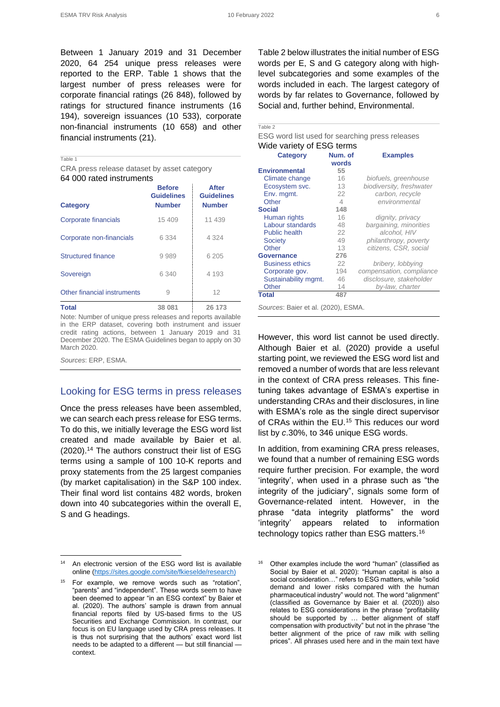Between 1 January 2019 and 31 December 2020, 64 254 unique press releases were reported to the ERP. Table 1 shows that the largest number of press releases were for corporate financial ratings (26 848), followed by ratings for structured finance instruments (16 194), sovereign issuances (10 533), corporate non-financial instruments (10 658) and other financial instruments (21).

<span id="page-5-0"></span>Table 1

CRA press release dataset by asset category 64 000 rated instruments

|                             | <b>Before</b><br><b>Guidelines</b> | <b>After</b><br><b>Guidelines</b> |
|-----------------------------|------------------------------------|-----------------------------------|
| <b>Category</b>             | <b>Number</b>                      | <b>Number</b>                     |
| Corporate financials        | 15 409                             | 11 439                            |
| Corporate non-financials    | 6 3 3 4                            | 4 3 2 4                           |
| <b>Structured finance</b>   | 9989                               | 6 205                             |
| Sovereign                   | 6 340                              | 4 1 9 3                           |
| Other financial instruments | 9                                  | 12                                |
| <b>Total</b>                | 38 081                             | 26 173                            |

Note: Number of unique press releases and reports available in the ERP dataset, covering both instrument and issuer credit rating actions, between 1 January 2019 and 31 December 2020. The ESMA Guidelines began to apply on 30 March 2020.

*Sources*: ERP, ESMA.

#### Looking for ESG terms in press releases

Once the press releases have been assembled, we can search each press release for ESG terms. To do this, we initially leverage the ESG word list created and made available by Baier et al. (2020).<sup>14</sup> The authors construct their list of ESG terms using a sample of 100 10-K reports and proxy statements from the 25 largest companies (by market capitalisation) in the S&P 100 index. Their final word list contains 482 words, broken down into 40 subcategories within the overall E, S and G headings.

[Table 2](#page-5-1) [below](#page-5-1) illustrates the initial number of ESG words per E, S and G category along with highlevel subcategories and some examples of the words included in each. The largest category of words by far relates to Governance, followed by Social and, further behind, Environmental.

<span id="page-5-1"></span>

| Wide variety of ESG terms |                  |                          |
|---------------------------|------------------|--------------------------|
| <b>Category</b>           | Num. of<br>words | <b>Examples</b>          |
| <b>Environmental</b>      | 55               |                          |
| Climate change            | 16               | biofuels, greenhouse     |
| Ecosystem svc.            | 13               | biodiversity, freshwater |
| Env. mgmt.                | 22               | carbon, recycle          |
| Other                     | 4                | environmental            |
| <b>Social</b>             | 148              |                          |
| Human rights              | 16               | dignity, privacy         |
| Labour standards          | 48               | bargaining, minorities   |
| <b>Public health</b>      | 22               | alcohol, HIV             |
| <b>Society</b>            | 49               | philanthropy, poverty    |
| Other                     | 13               | citizens, CSR, social    |
| Governance                | 276              |                          |
| <b>Business ethics</b>    | 22               | bribery, lobbying        |
| Corporate gov.            | 194              | compensation, compliance |
| Sustainability mgmt.      | 46               | disclosure, stakeholder  |
| Other                     | 14               | by-law, charter          |
| <b>Total</b>              | 487              |                          |

However, this word list cannot be used directly. Although Baier et al. (2020) provide a useful starting point, we reviewed the ESG word list and removed a number of words that are less relevant in the context of CRA press releases. This finetuning takes advantage of ESMA's expertise in understanding CRAs and their disclosures, in line with ESMA's role as the single direct supervisor of CRAs within the EU.<sup>15</sup> This reduces our word list by *c*.30%, to 346 unique ESG words.

In addition, from examining CRA press releases, we found that a number of remaining ESG words require further precision. For example, the word 'integrity', when used in a phrase such as "the integrity of the judiciary", signals some form of Governance-related intent. However, in the phrase "data integrity platforms" the word 'integrity' appears related to information technology topics rather than ESG matters.<sup>16</sup>

An electronic version of the ESG word list is available online [\(https://sites.google.com/site/fkieselde/research\)](https://sites.google.com/site/fkieselde/research)

For example, we remove words such as "rotation", "parents" and "independent". These words seem to have been deemed to appear "in an ESG context" by Baier et al. (2020). The authors' sample is drawn from annual financial reports filed by US-based firms to the US Securities and Exchange Commission. In contrast, our focus is on EU language used by CRA press releases. It is thus not surprising that the authors' exact word list needs to be adapted to a different — but still financial context.

Other examples include the word "human" (classified as Social by Baier et al. 2020): "Human capital is also a social consideration…" refers to ESG matters, while "solid demand and lower risks compared with the human pharmaceutical industry" would not. The word "alignment" (classified as Governance by Baier et al. (2020)) also relates to ESG considerations in the phrase "profitability should be supported by … better alignment of staff compensation with productivity" but not in the phrase "the better alignment of the price of raw milk with selling prices". All phrases used here and in the main text have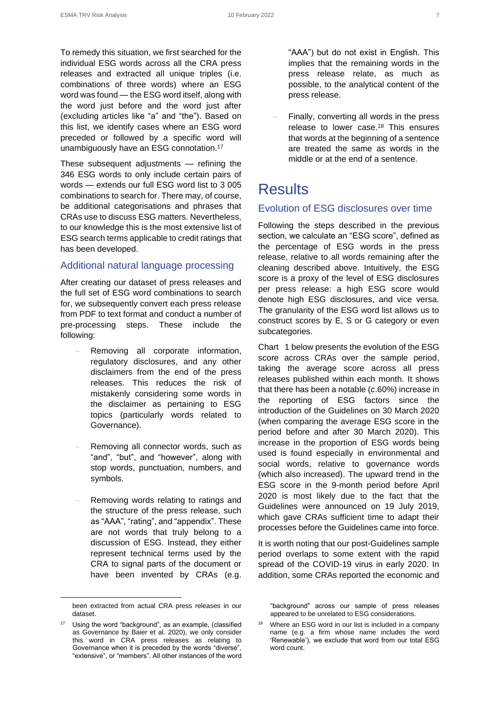To remedy this situation, we first searched for the individual ESG words across all the CRA press releases and extracted all unique triples (i.e. combinations of three words) where an ESG word was found — the ESG word itself, along with the word just before and the word just after (excluding articles like "a" and "the"). Based on this list, we identify cases where an ESG word preceded or followed by a specific word will unambiguously have an ESG connotation. 17

These subsequent adjustments — refining the 346 ESG words to only include certain pairs of words — extends our full ESG word list to 3 005 combinations to search for. There may, of course, be additional categorisations and phrases that CRAs use to discuss ESG matters. Nevertheless, to our knowledge this is the most extensive list of ESG search terms applicable to credit ratings that has been developed.

#### Additional natural language processing

After creating our dataset of press releases and the full set of ESG word combinations to search for, we subsequently convert each press release from PDF to text format and conduct a number of pre-processing steps. These include the following:

- Removing all corporate information, regulatory disclosures, and any other disclaimers from the end of the press releases. This reduces the risk of mistakenly considering some words in the disclaimer as pertaining to ESG topics (particularly words related to Governance).
- Removing all connector words, such as "and", "but", and "however", along with stop words, punctuation, numbers, and symbols.
- Removing words relating to ratings and the structure of the press release, such as "AAA", "rating", and "appendix". These are not words that truly belong to a discussion of ESG. Instead, they either represent technical terms used by the CRA to signal parts of the document or have been invented by CRAs (e.g.

"AAA") but do not exist in English. This implies that the remaining words in the press release relate, as much as possible, to the analytical content of the press release.

– Finally, converting all words in the press release to lower case.<sup>18</sup> This ensures that words at the beginning of a sentence are treated the same as words in the middle or at the end of a sentence.

### **Results**

#### Evolution of ESG disclosures over time

Following the steps described in the previous section, we calculate an "ESG score", defined as the percentage of ESG words in the press release, relative to all words remaining after the cleaning described above. Intuitively, the ESG score is a proxy of the level of ESG disclosures per press release: a high ESG score would denote high ESG disclosures, and vice versa. The granularity of the ESG word list allows us to construct scores by E, S or G category or even subcategories.

[Chart 1 below](#page-7-0) presents the evolution of the ESG score across CRAs over the sample period, taking the average score across all press releases published within each month. It shows that there has been a notable (*c*.60%) increase in the reporting of ESG factors since the introduction of the Guidelines on 30 March 2020 (when comparing the average ESG score in the period before and after 30 March 2020). This increase in the proportion of ESG words being used is found especially in environmental and social words, relative to governance words (which also increased). The upward trend in the ESG score in the 9-month period before April 2020 is most likely due to the fact that the Guidelines were announced on 19 July 2019, which gave CRAs sufficient time to adapt their processes before the Guidelines came into force.

It is worth noting that our post-Guidelines sample period overlaps to some extent with the rapid spread of the COVID-19 virus in early 2020. In addition, some CRAs reported the economic and

"background" across our sample of press releases appeared to be unrelated to ESG considerations.

<sup>18</sup> Where an ESG word in our list is included in a company name (e.g. a firm whose name includes the word 'Renewable'), we exclude that word from our total ESG word count.

been extracted from actual CRA press releases in our dataset.

<sup>17</sup> Using the word "background", as an example, (classified as Governance by Baier et al. 2020), we only consider this word in CRA press releases as relating to Governance when it is preceded by the words "diverse", "extensive", or "members". All other instances of the word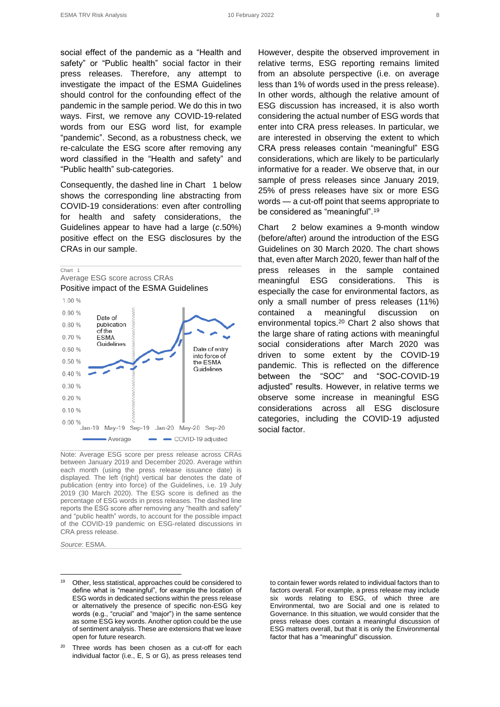social effect of the pandemic as a "Health and safety" or "Public health" social factor in their press releases. Therefore, any attempt to investigate the impact of the ESMA Guidelines should control for the confounding effect of the pandemic in the sample period. We do this in two ways. First, we remove any COVID-19-related words from our ESG word list, for example "pandemic". Second, as a robustness check, we re-calculate the ESG score after removing any word classified in the "Health and safety" and "Public health" sub-categories.

Consequently, the dashed line in [Chart 1 below](#page-7-0) shows the corresponding line abstracting from COVID-19 considerations: even after controlling for health and safety considerations, the Guidelines appear to have had a large (*c*.50%) positive effect on the ESG disclosures by the CRAs in our sample.

<span id="page-7-0"></span>

Note: Average ESG score per press release across CRAs between January 2019 and December 2020. Average within each month (using the press release issuance date) is displayed. The left (right) vertical bar denotes the date of publication (entry into force) of the Guidelines, i.e. 19 July 2019 (30 March 2020). The ESG score is defined as the percentage of ESG words in press releases. The dashed line reports the ESG score after removing any "health and safety" and "public health" words, to account for the possible impact of the COVID-19 pandemic on ESG-related discussions in CRA press release.

*Source*: ESMA.

However, despite the observed improvement in relative terms, ESG reporting remains limited from an absolute perspective (i.e. on average less than 1% of words used in the press release). In other words, although the relative amount of ESG discussion has increased, it is also worth considering the actual number of ESG words that enter into CRA press releases. In particular, we are interested in observing the extent to which CRA press releases contain "meaningful" ESG considerations, which are likely to be particularly informative for a reader. We observe that, in our sample of press releases since January 2019, 25% of press releases have six or more ESG words — a cut-off point that seems appropriate to be considered as "meaningful".<sup>19</sup>

[Chart 2 below](#page-8-0) examines a 9-month window (before/after) around the introduction of the ESG Guidelines on 30 March 2020. The chart shows that, even after March 2020, fewer than half of the press releases in the sample contained meaningful ESG considerations. This is especially the case for environmental factors, as only a small number of press releases (11%) contained a meaningful discussion on environmental topics. <sup>20</sup> Chart 2 also shows that the large share of rating actions with meaningful social considerations after March 2020 was driven to some extent by the COVID-19 pandemic. This is reflected on the difference between the "SOC" and "SOC-COVID-19 adjusted" results. However, in relative terms we observe some increase in meaningful ESG considerations across all ESG disclosure categories, including the COVID-19 adjusted social factor.

to contain fewer words related to individual factors than to factors overall. For example, a press release may include six words relating to ESG, of which three are Environmental, two are Social and one is related to Governance. In this situation, we would consider that the press release does contain a meaningful discussion of ESG matters overall, but that it is only the Environmental factor that has a "meaningful" discussion.

<sup>19</sup> Other, less statistical, approaches could be considered to define what is "meaningful", for example the location of ESG words in dedicated sections within the press release or alternatively the presence of specific non-ESG key words (e.g., "crucial" and "major") in the same sentence as some ESG key words. Another option could be the use of sentiment analysis. These are extensions that we leave open for future research.

<sup>&</sup>lt;sup>20</sup> Three words has been chosen as a cut-off for each individual factor (i.e., E, S or G), as press releases tend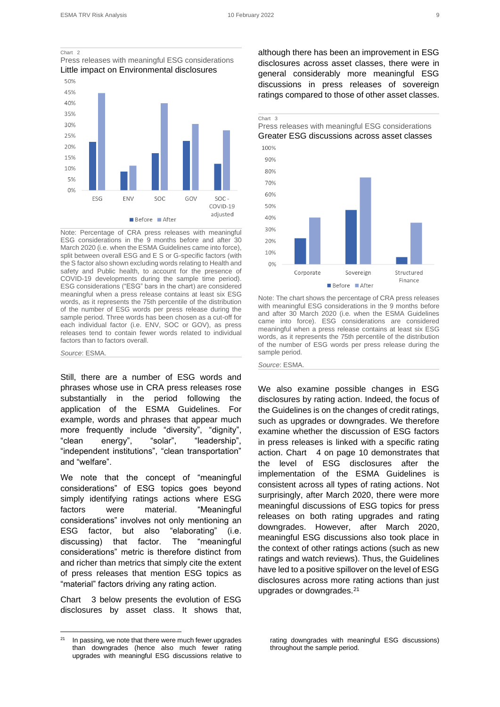<span id="page-8-0"></span>Chart 2

Press releases with meaningful ESG considerations Little impact on Environmental disclosures



Note: Percentage of CRA press releases with meaningful ESG considerations in the 9 months before and after 30 March 2020 (i.e. when the ESMA Guidelines came into force), split between overall ESG and E S or G-specific factors (with the S factor also shown excluding words relating to Health and safety and Public health, to account for the presence of COVID-19 developments during the sample time period). ESG considerations ("ESG" bars in the chart) are considered meaningful when a press release contains at least six ESG words, as it represents the 75th percentile of the distribution of the number of ESG words per press release during the sample period. Three words has been chosen as a cut-off for each individual factor (i.e. ENV, SOC or GOV), as press releases tend to contain fewer words related to individual factors than to factors overall.

*Source*: ESMA.

Still, there are a number of ESG words and phrases whose use in CRA press releases rose substantially in the period following the application of the ESMA Guidelines. For example, words and phrases that appear much more frequently include "diversity", "dignity", "clean energy", "solar", "leadership", "independent institutions", "clean transportation" and "welfare".

We note that the concept of "meaningful considerations" of ESG topics goes beyond simply identifying ratings actions where ESG factors were material. "Meaningful considerations" involves not only mentioning an ESG factor, but also "elaborating" (i.e. discussing) that factor. The "meaningful considerations" metric is therefore distinct from and richer than metrics that simply cite the extent of press releases that mention ESG topics as "material" factors driving any rating action.

[Chart 3 below](#page-8-1) presents the evolution of ESG disclosures by asset class. It shows that, although there has been an improvement in ESG disclosures across asset classes, there were in general considerably more meaningful ESG discussions in press releases of sovereign ratings compared to those of other asset classes.

<span id="page-8-1"></span>

Note: The chart shows the percentage of CRA press releases with meaningful ESG considerations in the 9 months before and after 30 March 2020 (i.e. when the ESMA Guidelines came into force). ESG considerations are considered meaningful when a press release contains at least six ESG words, as it represents the 75th percentile of the distribution of the number of ESG words per press release during the sample period.

*Source*: ESMA.

We also examine possible changes in ESG disclosures by rating action. Indeed, the focus of the Guidelines is on the changes of credit ratings, such as upgrades or downgrades. We therefore examine whether the discussion of ESG factors in press releases is linked with a specific rating action. [Chart 4](#page-9-0) [on page 10](#page-9-0) demonstrates that the level of ESG disclosures after the implementation of the ESMA Guidelines is consistent across all types of rating actions. Not surprisingly, after March 2020, there were more meaningful discussions of ESG topics for press releases on both rating upgrades and rating downgrades. However, after March 2020, meaningful ESG discussions also took place in the context of other ratings actions (such as new ratings and watch reviews). Thus, the Guidelines have led to a positive spillover on the level of ESG disclosures across more rating actions than just upgrades or downgrades.<sup>21</sup>

 $21$  In passing, we note that there were much fewer upgrades than downgrades (hence also much fewer rating upgrades with meaningful ESG discussions relative to

rating downgrades with meaningful ESG discussions) throughout the sample period.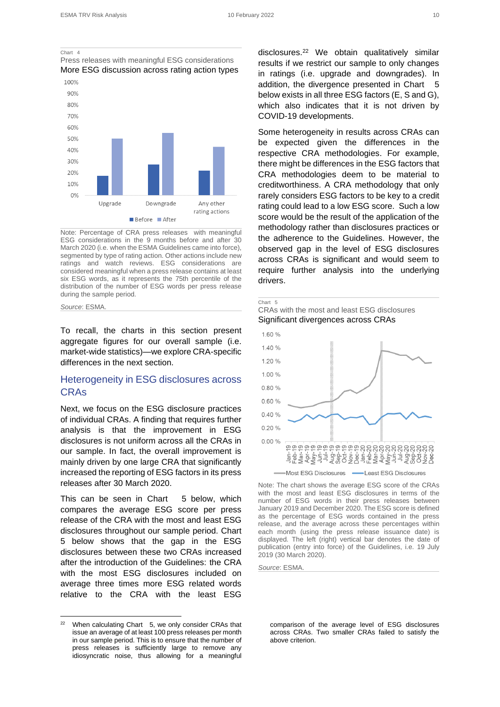#### <span id="page-9-0"></span>Chart 4

Press releases with meaningful ESG considerations More ESG discussion across rating action types



Note: Percentage of CRA press releases with meaningful ESG considerations in the 9 months before and after 30 March 2020 (i.e. when the ESMA Guidelines came into force), segmented by type of rating action. Other actions include new ratings and watch reviews. ESG considerations are considered meaningful when a press release contains at least six ESG words, as it represents the 75th percentile of the distribution of the number of ESG words per press release during the sample period.

#### *Source*: ESMA.

To recall, the charts in this section present aggregate figures for our overall sample (i.e. market-wide statistics)—we explore CRA-specific differences in the next section.

#### Heterogeneity in ESG disclosures across CRAs

Next, we focus on the ESG disclosure practices of individual CRAs. A finding that requires further analysis is that the improvement in ESG disclosures is not uniform across all the CRAs in our sample. In fact, the overall improvement is mainly driven by one large CRA that significantly increased the reporting of ESG factors in its press releases after 30 March 2020.

This can be seen in [Chart 5 below,](#page-9-1) which compares the average ESG score per press release of the CRA with the most and least ESG disclosures throughout our sample period. [Chart](#page-9-1)  [5 below](#page-9-1) shows that the gap in the ESG disclosures between these two CRAs increased after the introduction of the Guidelines: the CRA with the most ESG disclosures included on average three times more ESG related words relative to the CRA with the least ESG

disclosures. <sup>22</sup> We obtain qualitatively similar results if we restrict our sample to only changes in ratings (i.e. upgrade and downgrades). In addition, the divergence presented in Chart 5 [below](#page-9-1) exists in all three ESG factors (E, S and G), which also indicates that it is not driven by COVID-19 developments.

Some heterogeneity in results across CRAs can be expected given the differences in the respective CRA methodologies. For example, there might be differences in the ESG factors that CRA methodologies deem to be material to creditworthiness. A CRA methodology that only rarely considers ESG factors to be key to a credit rating could lead to a low ESG score. Such a low score would be the result of the application of the methodology rather than disclosures practices or the adherence to the Guidelines. However, the observed gap in the level of ESG disclosures across CRAs is significant and would seem to require further analysis into the underlying drivers.

<span id="page-9-1"></span>

Note: The chart shows the average ESG score of the CRAs with the most and least ESG disclosures in terms of the number of ESG words in their press releases between January 2019 and December 2020. The ESG score is defined as the percentage of ESG words contained in the press release, and the average across these percentages within each month (using the press release issuance date) is displayed. The left (right) vertical bar denotes the date of publication (entry into force) of the Guidelines, i.e. 19 July 2019 (30 March 2020).

*Source*: ESMA.

<sup>&</sup>lt;sup>22</sup> When calculating Chart  $5$ , we only consider CRAs that issue an average of at least 100 press releases per month in our sample period. This is to ensure that the number of press releases is sufficiently large to remove any idiosyncratic noise, thus allowing for a meaningful

comparison of the average level of ESG disclosures across CRAs. Two smaller CRAs failed to satisfy the above criterion.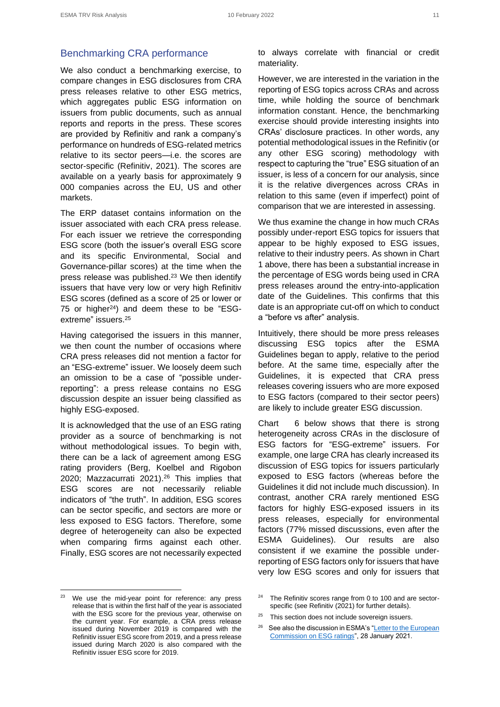#### Benchmarking CRA performance

We also conduct a benchmarking exercise, to compare changes in ESG disclosures from CRA press releases relative to other ESG metrics, which aggregates public ESG information on issuers from public documents, such as annual reports and reports in the press. These scores are provided by Refinitiv and rank a company's performance on hundreds of ESG-related metrics relative to its sector peers—i.e. the scores are sector-specific (Refinitiv, 2021). The scores are available on a yearly basis for approximately 9 000 companies across the EU, US and other markets.

The ERP dataset contains information on the issuer associated with each CRA press release. For each issuer we retrieve the corresponding ESG score (both the issuer's overall ESG score and its specific Environmental, Social and Governance-pillar scores) at the time when the press release was published. <sup>23</sup> We then identify issuers that have very low or very high Refinitiv ESG scores (defined as a score of 25 or lower or 75 or higher $24$ ) and deem these to be "ESGextreme" issuers.<sup>25</sup>

Having categorised the issuers in this manner, we then count the number of occasions where CRA press releases did not mention a factor for an "ESG-extreme" issuer. We loosely deem such an omission to be a case of "possible underreporting": a press release contains no ESG discussion despite an issuer being classified as highly ESG-exposed.

It is acknowledged that the use of an ESG rating provider as a source of benchmarking is not without methodological issues. To begin with, there can be a lack of agreement among ESG rating providers (Berg, Koelbel and Rigobon 2020; Mazzacurrati 2021).<sup>26</sup> This implies that ESG scores are not necessarily reliable indicators of "the truth". In addition, ESG scores can be sector specific, and sectors are more or less exposed to ESG factors. Therefore, some degree of heterogeneity can also be expected when comparing firms against each other. Finally, ESG scores are not necessarily expected

to always correlate with financial or credit materiality.

However, we are interested in the variation in the reporting of ESG topics across CRAs and across time, while holding the source of benchmark information constant. Hence, the benchmarking exercise should provide interesting insights into CRAs' disclosure practices. In other words, any potential methodological issues in the Refinitiv (or any other ESG scoring) methodology with respect to capturing the "true" ESG situation of an issuer, is less of a concern for our analysis, since it is the relative divergences across CRAs in relation to this same (even if imperfect) point of comparison that we are interested in assessing.

We thus examine the change in how much CRAs possibly under-report ESG topics for issuers that appear to be highly exposed to ESG issues, relative to their industry peers. As shown in [Chart](#page-7-0)  [1 above,](#page-7-0) there has been a substantial increase in the percentage of ESG words being used in CRA press releases around the entry-into-application date of the Guidelines. This confirms that this date is an appropriate cut-off on which to conduct a "before vs after" analysis.

Intuitively, there should be more press releases discussing ESG topics after the ESMA Guidelines began to apply, relative to the period before. At the same time, especially after the Guidelines, it is expected that CRA press releases covering issuers who are more exposed to ESG factors (compared to their sector peers) are likely to include greater ESG discussion.

[Chart 6 below](#page-11-0) shows that there is strong heterogeneity across CRAs in the disclosure of ESG factors for "ESG-extreme" issuers. For example, one large CRA has clearly increased its discussion of ESG topics for issuers particularly exposed to ESG factors (whereas before the Guidelines it did not include much discussion). In contrast, another CRA rarely mentioned ESG factors for highly ESG-exposed issuers in its press releases, especially for environmental factors (77% missed discussions, even after the ESMA Guidelines). Our results are also consistent if we examine the possible underreporting of ESG factors only for issuers that have very low ESG scores and only for issuers that

<sup>&</sup>lt;sup>23</sup> We use the mid-year point for reference: any press release that is within the first half of the year is associated with the ESG score for the previous year, otherwise on the current year. For example, a CRA press release issued during November 2019 is compared with the Refinitiv issuer ESG score from 2019, and a press release issued during March 2020 is also compared with the Refinitiv issuer ESG score for 2019.

<sup>&</sup>lt;sup>24</sup> The Refinitiv scores range from 0 to 100 and are sectorspecific (see Refinitiv (2021) for further details).

<sup>&</sup>lt;sup>25</sup> This section does not include sovereign issuers.

<sup>26</sup> See also the discussion in ESMA's ["Letter to the European](https://www.esma.europa.eu/sites/default/files/library/esma30-379-423_esma_letter_to_ec_on_esg_ratings.pdf)  [Commission on ESG ratings",](https://www.esma.europa.eu/sites/default/files/library/esma30-379-423_esma_letter_to_ec_on_esg_ratings.pdf) 28 January 2021.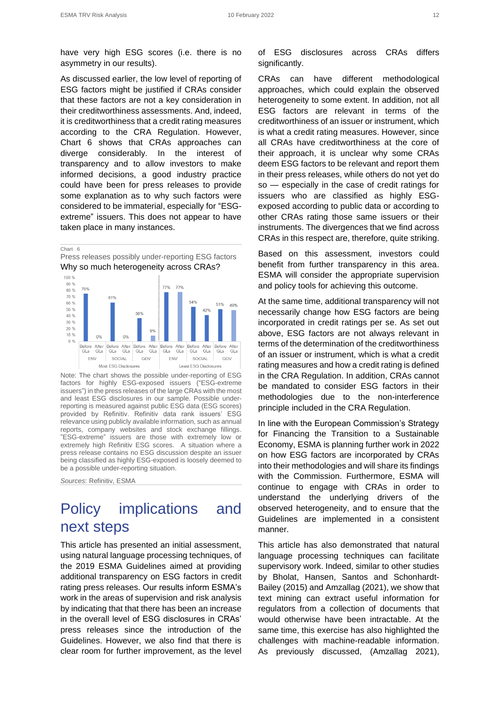have very high ESG scores (i.e. there is no asymmetry in our results).

As discussed earlier, the low level of reporting of ESG factors might be justified if CRAs consider that these factors are not a key consideration in their creditworthiness assessments. And, indeed, it is creditworthiness that a credit rating measures according to the CRA Regulation. However, Chart 6 shows that CRAs approaches can diverge considerably. In the interest of transparency and to allow investors to make informed decisions, a good industry practice could have been for press releases to provide some explanation as to why such factors were considered to be immaterial, especially for "ESGextreme" issuers. This does not appear to have taken place in many instances.

<span id="page-11-0"></span>Chart 6

Press releases possibly under-reporting ESG factors Why so much heterogeneity across CRAs?



Note: The chart shows the possible under-reporting of ESG factors for highly ESG-exposed issuers ("ESG-extreme issuers") in the press releases of the large CRAs with the most and least ESG disclosures in our sample. Possible underreporting is measured against public ESG data (ESG scores) provided by Refinitiv. Refinitiv data rank issuers' ESG relevance using publicly available information, such as annual reports, company websites and stock exchange fillings. "ESG-extreme" issuers are those with extremely low or extremely high Refinitiv ESG scores. A situation where a press release contains no ESG discussion despite an issuer being classified as highly ESG-exposed is loosely deemed to be a possible under-reporting situation.

*Sources*: Refinitiv, ESMA

## Policy implications and next steps

This article has presented an initial assessment, using natural language processing techniques, of the 2019 ESMA Guidelines aimed at providing additional transparency on ESG factors in credit rating press releases. Our results inform ESMA's work in the areas of supervision and risk analysis by indicating that that there has been an increase in the overall level of ESG disclosures in CRAs' press releases since the introduction of the Guidelines. However, we also find that there is clear room for further improvement, as the level

of ESG disclosures across CRAs differs significantly.

CRAs can have different methodological approaches, which could explain the observed heterogeneity to some extent. In addition, not all ESG factors are relevant in terms of the creditworthiness of an issuer or instrument, which is what a credit rating measures. However, since all CRAs have creditworthiness at the core of their approach, it is unclear why some CRAs deem ESG factors to be relevant and report them in their press releases, while others do not yet do so — especially in the case of credit ratings for issuers who are classified as highly ESGexposed according to public data or according to other CRAs rating those same issuers or their instruments. The divergences that we find across CRAs in this respect are, therefore, quite striking.

Based on this assessment, investors could benefit from further transparency in this area. ESMA will consider the appropriate supervision and policy tools for achieving this outcome.

At the same time, additional transparency will not necessarily change how ESG factors are being incorporated in credit ratings per se. As set out above, ESG factors are not always relevant in terms of the determination of the creditworthiness of an issuer or instrument, which is what a credit rating measures and how a credit rating is defined in the CRA Regulation. In addition, CRAs cannot be mandated to consider ESG factors in their methodologies due to the non-interference principle included in the CRA Regulation.

In line with the European Commission's Strategy for Financing the Transition to a Sustainable Economy, ESMA is planning further work in 2022 on how ESG factors are incorporated by CRAs into their methodologies and will share its findings with the Commission. Furthermore, ESMA will continue to engage with CRAs in order to understand the underlying drivers of the observed heterogeneity, and to ensure that the Guidelines are implemented in a consistent manner.

This article has also demonstrated that natural language processing techniques can facilitate supervisory work. Indeed, similar to other studies by Bholat, Hansen, Santos and Schonhardt-Bailey (2015) and Amzallag (2021), we show that text mining can extract useful information for regulators from a collection of documents that would otherwise have been intractable. At the same time, this exercise has also highlighted the challenges with machine-readable information. As previously discussed, (Amzallag 2021),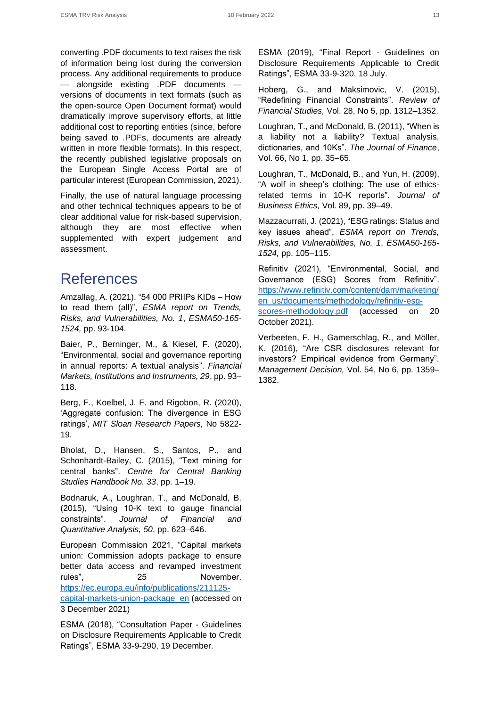converting .PDF documents to text raises the risk of information being lost during the conversion process. Any additional requirements to produce — alongside existing .PDF documents versions of documents in text formats (such as the open-source Open Document format) would dramatically improve supervisory efforts, at little additional cost to reporting entities (since, before being saved to .PDFs, documents are already written in more flexible formats). In this respect, the recently published legislative proposals on the European Single Access Portal are of particular interest (European Commission, 2021).

Finally, the use of natural language processing and other technical techniques appears to be of clear additional value for risk-based supervision, although they are most effective when supplemented with expert judgement and assessment.

## References

Amzallag, A. (2021), "54 000 PRIIPs KIDs – How to read them (all)", *ESMA report on Trends, Risks, and Vulnerabilities, No. 1*, *ESMA50-165- 1524,* pp. 93-104.

Baier, P., Berninger, M., & Kiesel, F. (2020), "Environmental, social and governance reporting in annual reports: A textual analysis". *Financial Markets, Institutions and Instruments, 29*, pp. 93– 118.

Berg, F., Koelbel, J. F. and Rigobon, R. (2020), 'Aggregate confusion: The divergence in ESG ratings', *MIT Sloan Research Papers,* No 5822- 19.

Bholat, D., Hansen, S., Santos, P., and Schonhardt-Bailey, C. (2015), "Text mining for central banks". *Centre for Central Banking Studies Handbook No. 33*, pp. 1–19.

Bodnaruk, A., Loughran, T., and McDonald, B. (2015), "Using 10-K text to gauge financial constraints". *Journal of Financial and Quantitative Analysis, 50*, pp. 623–646.

European Commission 2021, "Capital markets union: Commission adopts package to ensure better data access and revamped investment rules", 25 November. [https://ec.europa.eu/info/publications/211125](https://ec.europa.eu/info/publications/211125-capital-markets-union-package_en) [capital-markets-union-package\\_en](https://ec.europa.eu/info/publications/211125-capital-markets-union-package_en) (accessed on 3 December 2021)

ESMA (2018), "Consultation Paper - Guidelines on Disclosure Requirements Applicable to Credit Ratings", ESMA 33-9-290, 19 December.

ESMA (2019), "Final Report - Guidelines on Disclosure Requirements Applicable to Credit Ratings", ESMA 33-9-320, 18 July.

Hoberg, G., and Maksimovic, V. (2015), "Redefining Financial Constraints". *Review of Financial Studies,* Vol. 28, No 5, pp. 1312–1352.

Loughran, T., and McDonald, B. (2011), "When is a liability not a liability? Textual analysis, dictionaries, and 10Ks". *The Journal of Finance*, Vol. 66, No 1, pp. 35–65.

Loughran, T., McDonald, B., and Yun, H. (2009), "A wolf in sheep's clothing: The use of ethicsrelated terms in 10-K reports". *Journal of Business Ethics,* Vol. 89, pp. 39–49.

Mazzacurrati, J. (2021), "ESG ratings: Status and key issues ahead", *ESMA report on Trends, Risks, and Vulnerabilities, No. 1*, *ESMA50-165- 1524,* pp. 105–115.

Refinitiv (2021), "Environmental, Social, and Governance (ESG) Scores from Refinitiv". [https://www.refinitiv.com/content/dam/marketing/](https://www.refinitiv.com/content/dam/marketing/en_us/documents/methodology/refinitiv-esg-scores-methodology.pdf) [en\\_us/documents/methodology/refinitiv-esg](https://www.refinitiv.com/content/dam/marketing/en_us/documents/methodology/refinitiv-esg-scores-methodology.pdf)[scores-methodology.pdf](https://www.refinitiv.com/content/dam/marketing/en_us/documents/methodology/refinitiv-esg-scores-methodology.pdf) (accessed on 20 October 2021).

Verbeeten, F. H., Gamerschlag, R., and Möller, K. (2016), "Are CSR disclosures relevant for investors? Empirical evidence from Germany". *Management Decision,* Vol. 54, No 6, pp. 1359– 1382.